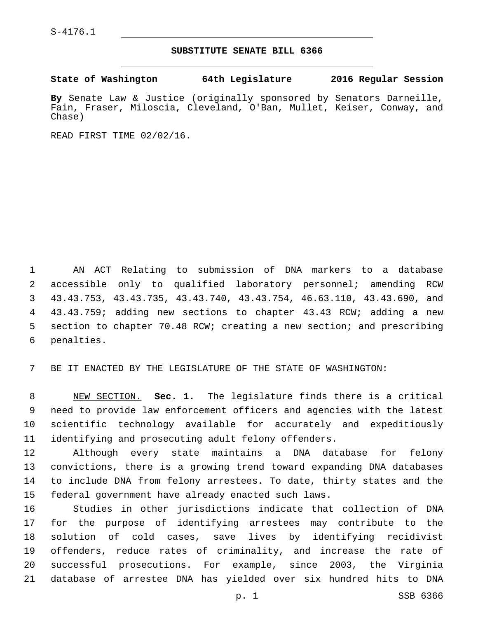## **SUBSTITUTE SENATE BILL 6366**

**State of Washington 64th Legislature 2016 Regular Session**

**By** Senate Law & Justice (originally sponsored by Senators Darneille, Fain, Fraser, Miloscia, Cleveland, O'Ban, Mullet, Keiser, Conway, and Chase)

READ FIRST TIME 02/02/16.

 AN ACT Relating to submission of DNA markers to a database accessible only to qualified laboratory personnel; amending RCW 43.43.753, 43.43.735, 43.43.740, 43.43.754, 46.63.110, 43.43.690, and 43.43.759; adding new sections to chapter 43.43 RCW; adding a new section to chapter 70.48 RCW; creating a new section; and prescribing 6 penalties.

BE IT ENACTED BY THE LEGISLATURE OF THE STATE OF WASHINGTON:

 NEW SECTION. **Sec. 1.** The legislature finds there is a critical need to provide law enforcement officers and agencies with the latest scientific technology available for accurately and expeditiously identifying and prosecuting adult felony offenders.

 Although every state maintains a DNA database for felony convictions, there is a growing trend toward expanding DNA databases to include DNA from felony arrestees. To date, thirty states and the federal government have already enacted such laws.

 Studies in other jurisdictions indicate that collection of DNA for the purpose of identifying arrestees may contribute to the solution of cold cases, save lives by identifying recidivist offenders, reduce rates of criminality, and increase the rate of successful prosecutions. For example, since 2003, the Virginia database of arrestee DNA has yielded over six hundred hits to DNA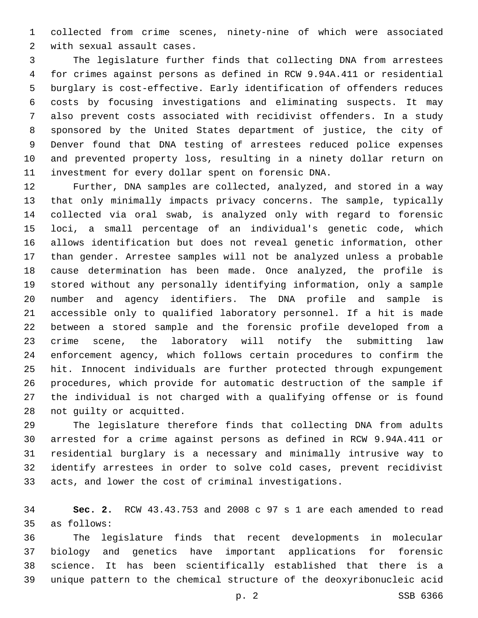collected from crime scenes, ninety-nine of which were associated 2 with sexual assault cases.

 The legislature further finds that collecting DNA from arrestees for crimes against persons as defined in RCW 9.94A.411 or residential burglary is cost-effective. Early identification of offenders reduces costs by focusing investigations and eliminating suspects. It may also prevent costs associated with recidivist offenders. In a study sponsored by the United States department of justice, the city of Denver found that DNA testing of arrestees reduced police expenses and prevented property loss, resulting in a ninety dollar return on investment for every dollar spent on forensic DNA.

 Further, DNA samples are collected, analyzed, and stored in a way that only minimally impacts privacy concerns. The sample, typically collected via oral swab, is analyzed only with regard to forensic loci, a small percentage of an individual's genetic code, which allows identification but does not reveal genetic information, other than gender. Arrestee samples will not be analyzed unless a probable cause determination has been made. Once analyzed, the profile is stored without any personally identifying information, only a sample number and agency identifiers. The DNA profile and sample is accessible only to qualified laboratory personnel. If a hit is made between a stored sample and the forensic profile developed from a crime scene, the laboratory will notify the submitting law enforcement agency, which follows certain procedures to confirm the hit. Innocent individuals are further protected through expungement procedures, which provide for automatic destruction of the sample if the individual is not charged with a qualifying offense or is found 28 not guilty or acquitted.

 The legislature therefore finds that collecting DNA from adults arrested for a crime against persons as defined in RCW 9.94A.411 or residential burglary is a necessary and minimally intrusive way to identify arrestees in order to solve cold cases, prevent recidivist acts, and lower the cost of criminal investigations.

 **Sec. 2.** RCW 43.43.753 and 2008 c 97 s 1 are each amended to read as follows:35

 The legislature finds that recent developments in molecular biology and genetics have important applications for forensic science. It has been scientifically established that there is a unique pattern to the chemical structure of the deoxyribonucleic acid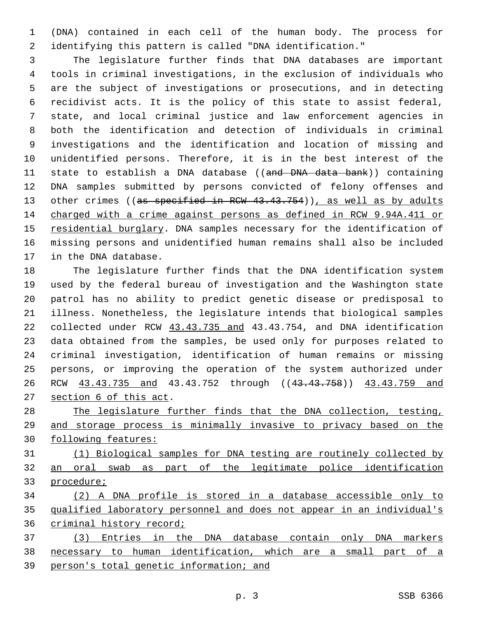(DNA) contained in each cell of the human body. The process for identifying this pattern is called "DNA identification."

 The legislature further finds that DNA databases are important tools in criminal investigations, in the exclusion of individuals who are the subject of investigations or prosecutions, and in detecting recidivist acts. It is the policy of this state to assist federal, state, and local criminal justice and law enforcement agencies in both the identification and detection of individuals in criminal investigations and the identification and location of missing and unidentified persons. Therefore, it is in the best interest of the 11 state to establish a DNA database ((and DNA data bank)) containing DNA samples submitted by persons convicted of felony offenses and 13 other crimes ((as specified in RCW 43.43.754)), as well as by adults charged with a crime against persons as defined in RCW 9.94A.411 or residential burglary. DNA samples necessary for the identification of missing persons and unidentified human remains shall also be included 17 in the DNA database.

 The legislature further finds that the DNA identification system used by the federal bureau of investigation and the Washington state patrol has no ability to predict genetic disease or predisposal to illness. Nonetheless, the legislature intends that biological samples collected under RCW 43.43.735 and 43.43.754, and DNA identification data obtained from the samples, be used only for purposes related to criminal investigation, identification of human remains or missing persons, or improving the operation of the system authorized under 26 RCW  $\underline{43.43.735}$  and  $43.43.752$  through (( $\underline{43.43.758}$ ))  $\underline{43.43.759}$  and 27 section 6 of this act.

 The legislature further finds that the DNA collection, testing, and storage process is minimally invasive to privacy based on the following features:

 (1) Biological samples for DNA testing are routinely collected by an oral swab as part of the legitimate police identification procedure;

 (2) A DNA profile is stored in a database accessible only to qualified laboratory personnel and does not appear in an individual's criminal history record;

 (3) Entries in the DNA database contain only DNA markers necessary to human identification, which are a small part of a 39 person's total genetic information; and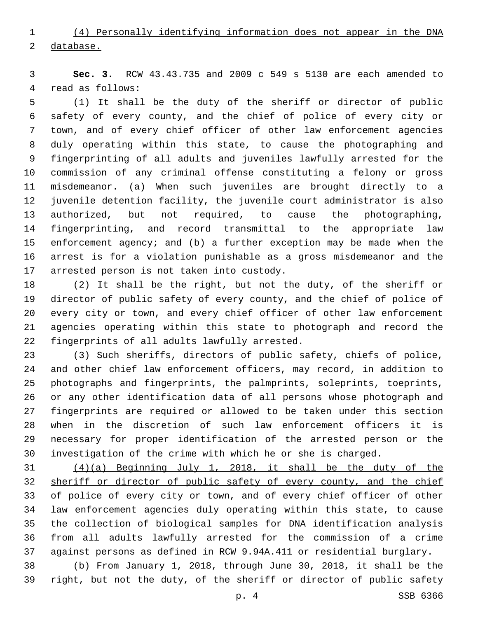(4) Personally identifying information does not appear in the DNA database.

 **Sec. 3.** RCW 43.43.735 and 2009 c 549 s 5130 are each amended to 4 read as follows:

 (1) It shall be the duty of the sheriff or director of public safety of every county, and the chief of police of every city or town, and of every chief officer of other law enforcement agencies duly operating within this state, to cause the photographing and fingerprinting of all adults and juveniles lawfully arrested for the commission of any criminal offense constituting a felony or gross misdemeanor. (a) When such juveniles are brought directly to a juvenile detention facility, the juvenile court administrator is also authorized, but not required, to cause the photographing, fingerprinting, and record transmittal to the appropriate law enforcement agency; and (b) a further exception may be made when the arrest is for a violation punishable as a gross misdemeanor and the 17 arrested person is not taken into custody.

 (2) It shall be the right, but not the duty, of the sheriff or director of public safety of every county, and the chief of police of every city or town, and every chief officer of other law enforcement agencies operating within this state to photograph and record the 22 fingerprints of all adults lawfully arrested.

 (3) Such sheriffs, directors of public safety, chiefs of police, and other chief law enforcement officers, may record, in addition to photographs and fingerprints, the palmprints, soleprints, toeprints, or any other identification data of all persons whose photograph and fingerprints are required or allowed to be taken under this section when in the discretion of such law enforcement officers it is necessary for proper identification of the arrested person or the investigation of the crime with which he or she is charged.

 (4)(a) Beginning July 1, 2018, it shall be the duty of the sheriff or director of public safety of every county, and the chief of police of every city or town, and of every chief officer of other law enforcement agencies duly operating within this state, to cause the collection of biological samples for DNA identification analysis from all adults lawfully arrested for the commission of a crime against persons as defined in RCW 9.94A.411 or residential burglary. (b) From January 1, 2018, through June 30, 2018, it shall be the

right, but not the duty, of the sheriff or director of public safety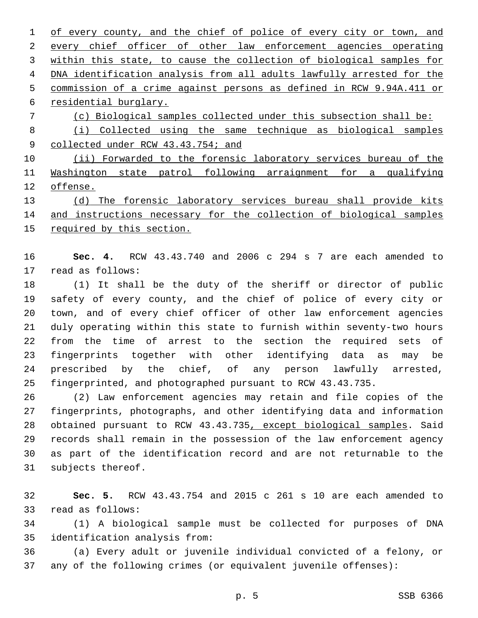1 of every county, and the chief of police of every city or town, and every chief officer of other law enforcement agencies operating within this state, to cause the collection of biological samples for 4 DNA identification analysis from all adults lawfully arrested for the commission of a crime against persons as defined in RCW 9.94A.411 or 6 residential burglary. (c) Biological samples collected under this subsection shall be: (i) Collected using the same technique as biological samples 9 collected under RCW 43.43.754; and 10 (ii) Forwarded to the forensic laboratory services bureau of the Washington state patrol following arraignment for a qualifying offense.

 (d) The forensic laboratory services bureau shall provide kits 14 and instructions necessary for the collection of biological samples required by this section.

 **Sec. 4.** RCW 43.43.740 and 2006 c 294 s 7 are each amended to 17 read as follows:

 (1) It shall be the duty of the sheriff or director of public safety of every county, and the chief of police of every city or town, and of every chief officer of other law enforcement agencies duly operating within this state to furnish within seventy-two hours from the time of arrest to the section the required sets of fingerprints together with other identifying data as may be prescribed by the chief, of any person lawfully arrested, fingerprinted, and photographed pursuant to RCW 43.43.735.

 (2) Law enforcement agencies may retain and file copies of the fingerprints, photographs, and other identifying data and information obtained pursuant to RCW 43.43.735, except biological samples. Said records shall remain in the possession of the law enforcement agency as part of the identification record and are not returnable to the 31 subjects thereof.

 **Sec. 5.** RCW 43.43.754 and 2015 c 261 s 10 are each amended to 33 read as follows:

 (1) A biological sample must be collected for purposes of DNA 35 identification analysis from:

 (a) Every adult or juvenile individual convicted of a felony, or any of the following crimes (or equivalent juvenile offenses):

p. 5 SSB 6366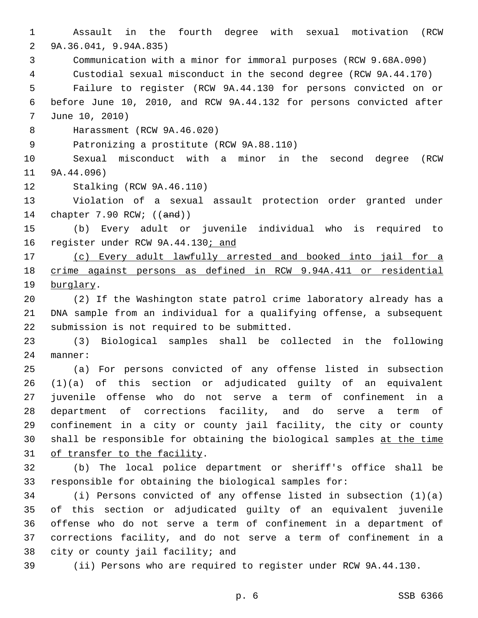Assault in the fourth degree with sexual motivation (RCW 9A.36.041, 9.94A.835)2 Communication with a minor for immoral purposes (RCW 9.68A.090) Custodial sexual misconduct in the second degree (RCW 9A.44.170) Failure to register (RCW 9A.44.130 for persons convicted on or before June 10, 2010, and RCW 9A.44.132 for persons convicted after 7 June 10, 2010) 8 Harassment (RCW 9A.46.020) 9 Patronizing a prostitute (RCW 9A.88.110) Sexual misconduct with a minor in the second degree (RCW 11 9A.44.096) 12 Stalking (RCW 9A.46.110) Violation of a sexual assault protection order granted under chapter 7.90 RCW; ((and)) (b) Every adult or juvenile individual who is required to 16 register under RCW 9A.44.130; and (c) Every adult lawfully arrested and booked into jail for a crime against persons as defined in RCW 9.94A.411 or residential 19 burglary. (2) If the Washington state patrol crime laboratory already has a DNA sample from an individual for a qualifying offense, a subsequent 22 submission is not required to be submitted. (3) Biological samples shall be collected in the following 24 manner: (a) For persons convicted of any offense listed in subsection (1)(a) of this section or adjudicated guilty of an equivalent juvenile offense who do not serve a term of confinement in a department of corrections facility, and do serve a term of confinement in a city or county jail facility, the city or county shall be responsible for obtaining the biological samples at the time 31 of transfer to the facility. (b) The local police department or sheriff's office shall be responsible for obtaining the biological samples for: (i) Persons convicted of any offense listed in subsection (1)(a) of this section or adjudicated guilty of an equivalent juvenile offense who do not serve a term of confinement in a department of corrections facility, and do not serve a term of confinement in a 38 city or county jail facility; and (ii) Persons who are required to register under RCW 9A.44.130.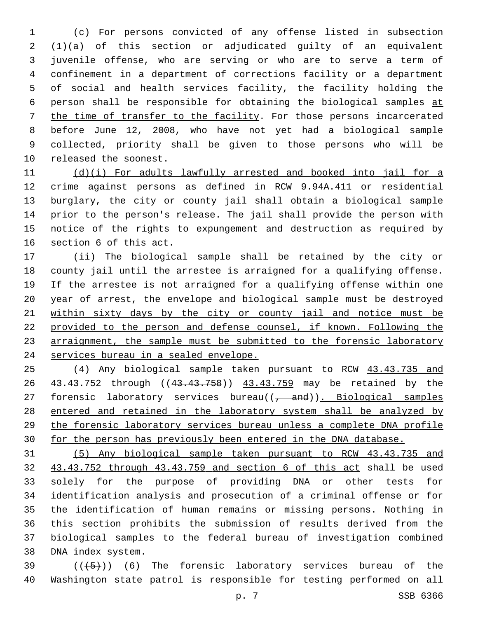(c) For persons convicted of any offense listed in subsection (1)(a) of this section or adjudicated guilty of an equivalent juvenile offense, who are serving or who are to serve a term of confinement in a department of corrections facility or a department of social and health services facility, the facility holding the person shall be responsible for obtaining the biological samples at the time of transfer to the facility. For those persons incarcerated before June 12, 2008, who have not yet had a biological sample collected, priority shall be given to those persons who will be 10 released the soonest.

11 (d)(i) For adults lawfully arrested and booked into jail for a crime against persons as defined in RCW 9.94A.411 or residential 13 burglary, the city or county jail shall obtain a biological sample prior to the person's release. The jail shall provide the person with notice of the rights to expungement and destruction as required by section 6 of this act.

 (ii) The biological sample shall be retained by the city or county jail until the arrestee is arraigned for a qualifying offense. If the arrestee is not arraigned for a qualifying offense within one year of arrest, the envelope and biological sample must be destroyed within sixty days by the city or county jail and notice must be provided to the person and defense counsel, if known. Following the arraignment, the sample must be submitted to the forensic laboratory services bureau in a sealed envelope.

 (4) Any biological sample taken pursuant to RCW 43.43.735 and 26 43.43.752 through ((43.43.758)) 43.43.759 may be retained by the 27 forensic laboratory services bureau $((\frac{1}{\epsilon} - \text{and}))$ . Biological samples entered and retained in the laboratory system shall be analyzed by the forensic laboratory services bureau unless a complete DNA profile for the person has previously been entered in the DNA database.

 (5) Any biological sample taken pursuant to RCW 43.43.735 and 43.43.752 through 43.43.759 and section 6 of this act shall be used solely for the purpose of providing DNA or other tests for identification analysis and prosecution of a criminal offense or for the identification of human remains or missing persons. Nothing in this section prohibits the submission of results derived from the biological samples to the federal bureau of investigation combined 38 DNA index system.

39  $((+5+))$  (6) The forensic laboratory services bureau of the Washington state patrol is responsible for testing performed on all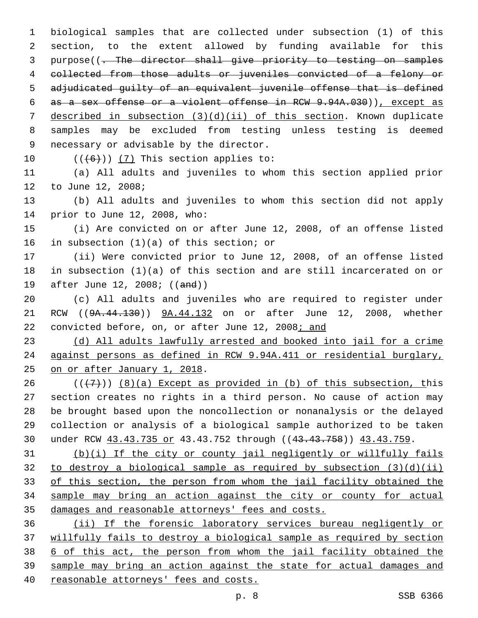biological samples that are collected under subsection (1) of this section, to the extent allowed by funding available for this purpose((. The director shall give priority to testing on samples collected from those adults or juveniles convicted of a felony or adjudicated guilty of an equivalent juvenile offense that is defined as a sex offense or a violent offense in RCW 9.94A.030)), except as described in subsection (3)(d)(ii) of this section. Known duplicate samples may be excluded from testing unless testing is deemed 9 necessary or advisable by the director.  $((+6))$   $(7)$  This section applies to:

 (a) All adults and juveniles to whom this section applied prior 12 to June 12, 2008;

 (b) All adults and juveniles to whom this section did not apply 14 prior to June 12, 2008, who:

 (i) Are convicted on or after June 12, 2008, of an offense listed 16 in subsection  $(1)(a)$  of this section; or

 (ii) Were convicted prior to June 12, 2008, of an offense listed in subsection (1)(a) of this section and are still incarcerated on or 19 after June 12, 2008; ((and))

 (c) All adults and juveniles who are required to register under RCW ((9A.44.130)) 9A.44.132 on or after June 12, 2008, whether convicted before, on, or after June 12, 2008; and

 (d) All adults lawfully arrested and booked into jail for a crime against persons as defined in RCW 9.94A.411 or residential burglary, 25 on or after January 1, 2018.

 $((+7+))$  (8)(a) Except as provided in (b) of this subsection, this section creates no rights in a third person. No cause of action may be brought based upon the noncollection or nonanalysis or the delayed collection or analysis of a biological sample authorized to be taken under RCW 43.43.735 or 43.43.752 through ((43.43.758)) 43.43.759.

 (b)(i) If the city or county jail negligently or willfully fails 32 to destroy a biological sample as required by subsection  $(3)(d)(ii)$  of this section, the person from whom the jail facility obtained the sample may bring an action against the city or county for actual damages and reasonable attorneys' fees and costs.

 (ii) If the forensic laboratory services bureau negligently or willfully fails to destroy a biological sample as required by section 6 of this act, the person from whom the jail facility obtained the sample may bring an action against the state for actual damages and reasonable attorneys' fees and costs.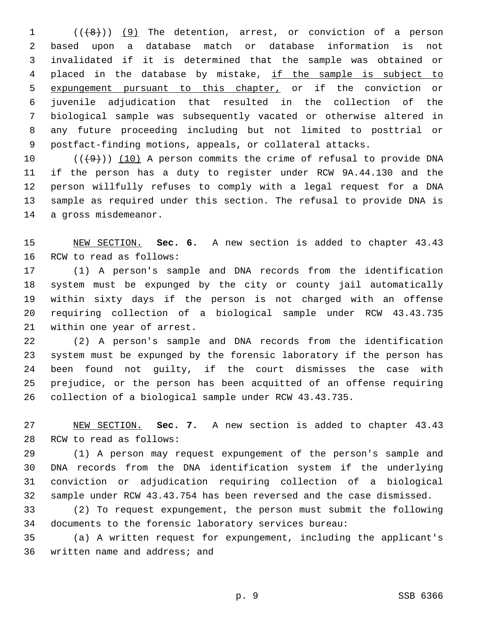1 (( $(8)$ )) (9) The detention, arrest, or conviction of a person based upon a database match or database information is not invalidated if it is determined that the sample was obtained or 4 placed in the database by mistake, if the sample is subject to 5 expungement pursuant to this chapter, or if the conviction or juvenile adjudication that resulted in the collection of the biological sample was subsequently vacated or otherwise altered in any future proceeding including but not limited to posttrial or postfact-finding motions, appeals, or collateral attacks.

 $((+9+))$   $(10)$  A person commits the crime of refusal to provide DNA if the person has a duty to register under RCW 9A.44.130 and the person willfully refuses to comply with a legal request for a DNA sample as required under this section. The refusal to provide DNA is 14 a gross misdemeanor.

 NEW SECTION. **Sec. 6.** A new section is added to chapter 43.43 16 RCW to read as follows:

 (1) A person's sample and DNA records from the identification system must be expunged by the city or county jail automatically within sixty days if the person is not charged with an offense requiring collection of a biological sample under RCW 43.43.735 21 within one year of arrest.

 (2) A person's sample and DNA records from the identification system must be expunged by the forensic laboratory if the person has been found not guilty, if the court dismisses the case with prejudice, or the person has been acquitted of an offense requiring collection of a biological sample under RCW 43.43.735.

 NEW SECTION. **Sec. 7.** A new section is added to chapter 43.43 28 RCW to read as follows:

 (1) A person may request expungement of the person's sample and DNA records from the DNA identification system if the underlying conviction or adjudication requiring collection of a biological sample under RCW 43.43.754 has been reversed and the case dismissed.

 (2) To request expungement, the person must submit the following documents to the forensic laboratory services bureau:

 (a) A written request for expungement, including the applicant's 36 written name and address; and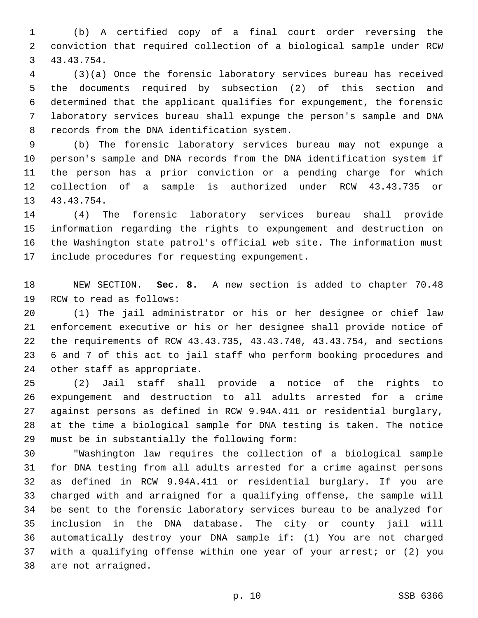(b) A certified copy of a final court order reversing the conviction that required collection of a biological sample under RCW 43.43.754.3

 (3)(a) Once the forensic laboratory services bureau has received the documents required by subsection (2) of this section and determined that the applicant qualifies for expungement, the forensic laboratory services bureau shall expunge the person's sample and DNA 8 records from the DNA identification system.

 (b) The forensic laboratory services bureau may not expunge a person's sample and DNA records from the DNA identification system if the person has a prior conviction or a pending charge for which collection of a sample is authorized under RCW 43.43.735 or 13 43.43.754.

 (4) The forensic laboratory services bureau shall provide information regarding the rights to expungement and destruction on the Washington state patrol's official web site. The information must 17 include procedures for requesting expungement.

 NEW SECTION. **Sec. 8.** A new section is added to chapter 70.48 19 RCW to read as follows:

 (1) The jail administrator or his or her designee or chief law enforcement executive or his or her designee shall provide notice of the requirements of RCW 43.43.735, 43.43.740, 43.43.754, and sections 6 and 7 of this act to jail staff who perform booking procedures and 24 other staff as appropriate.

 (2) Jail staff shall provide a notice of the rights to expungement and destruction to all adults arrested for a crime against persons as defined in RCW 9.94A.411 or residential burglary, at the time a biological sample for DNA testing is taken. The notice 29 must be in substantially the following form:

 "Washington law requires the collection of a biological sample for DNA testing from all adults arrested for a crime against persons as defined in RCW 9.94A.411 or residential burglary. If you are charged with and arraigned for a qualifying offense, the sample will be sent to the forensic laboratory services bureau to be analyzed for inclusion in the DNA database. The city or county jail will automatically destroy your DNA sample if: (1) You are not charged with a qualifying offense within one year of your arrest; or (2) you 38 are not arraigned.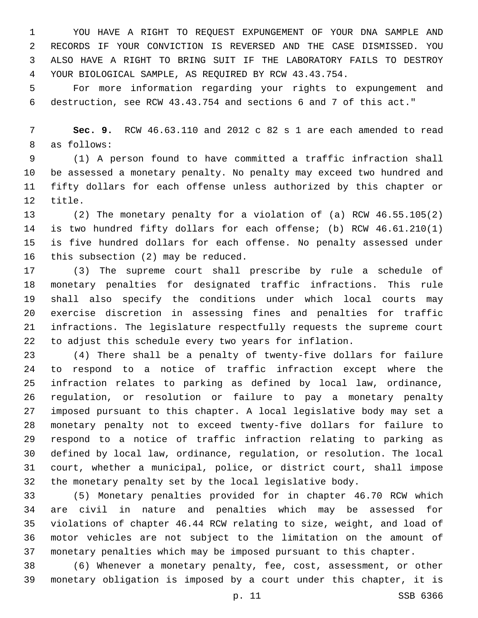YOU HAVE A RIGHT TO REQUEST EXPUNGEMENT OF YOUR DNA SAMPLE AND RECORDS IF YOUR CONVICTION IS REVERSED AND THE CASE DISMISSED. YOU ALSO HAVE A RIGHT TO BRING SUIT IF THE LABORATORY FAILS TO DESTROY YOUR BIOLOGICAL SAMPLE, AS REQUIRED BY RCW 43.43.754.

 For more information regarding your rights to expungement and destruction, see RCW 43.43.754 and sections 6 and 7 of this act."

 **Sec. 9.** RCW 46.63.110 and 2012 c 82 s 1 are each amended to read 8 as follows:

 (1) A person found to have committed a traffic infraction shall be assessed a monetary penalty. No penalty may exceed two hundred and fifty dollars for each offense unless authorized by this chapter or 12 title.

 (2) The monetary penalty for a violation of (a) RCW 46.55.105(2) is two hundred fifty dollars for each offense; (b) RCW 46.61.210(1) is five hundred dollars for each offense. No penalty assessed under 16 this subsection  $(2)$  may be reduced.

 (3) The supreme court shall prescribe by rule a schedule of monetary penalties for designated traffic infractions. This rule shall also specify the conditions under which local courts may exercise discretion in assessing fines and penalties for traffic infractions. The legislature respectfully requests the supreme court to adjust this schedule every two years for inflation.

 (4) There shall be a penalty of twenty-five dollars for failure to respond to a notice of traffic infraction except where the infraction relates to parking as defined by local law, ordinance, regulation, or resolution or failure to pay a monetary penalty imposed pursuant to this chapter. A local legislative body may set a monetary penalty not to exceed twenty-five dollars for failure to respond to a notice of traffic infraction relating to parking as defined by local law, ordinance, regulation, or resolution. The local court, whether a municipal, police, or district court, shall impose the monetary penalty set by the local legislative body.

 (5) Monetary penalties provided for in chapter 46.70 RCW which are civil in nature and penalties which may be assessed for violations of chapter 46.44 RCW relating to size, weight, and load of motor vehicles are not subject to the limitation on the amount of monetary penalties which may be imposed pursuant to this chapter.

 (6) Whenever a monetary penalty, fee, cost, assessment, or other monetary obligation is imposed by a court under this chapter, it is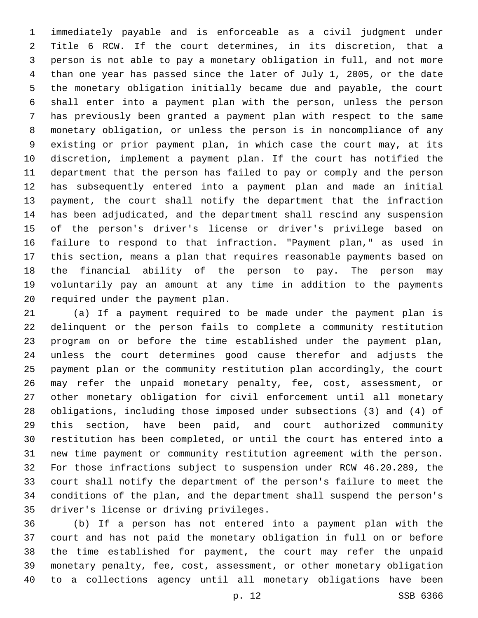immediately payable and is enforceable as a civil judgment under Title 6 RCW. If the court determines, in its discretion, that a person is not able to pay a monetary obligation in full, and not more than one year has passed since the later of July 1, 2005, or the date the monetary obligation initially became due and payable, the court shall enter into a payment plan with the person, unless the person has previously been granted a payment plan with respect to the same monetary obligation, or unless the person is in noncompliance of any existing or prior payment plan, in which case the court may, at its discretion, implement a payment plan. If the court has notified the department that the person has failed to pay or comply and the person has subsequently entered into a payment plan and made an initial payment, the court shall notify the department that the infraction has been adjudicated, and the department shall rescind any suspension of the person's driver's license or driver's privilege based on failure to respond to that infraction. "Payment plan," as used in this section, means a plan that requires reasonable payments based on the financial ability of the person to pay. The person may voluntarily pay an amount at any time in addition to the payments 20 required under the payment plan.

 (a) If a payment required to be made under the payment plan is delinquent or the person fails to complete a community restitution program on or before the time established under the payment plan, unless the court determines good cause therefor and adjusts the payment plan or the community restitution plan accordingly, the court may refer the unpaid monetary penalty, fee, cost, assessment, or other monetary obligation for civil enforcement until all monetary obligations, including those imposed under subsections (3) and (4) of this section, have been paid, and court authorized community restitution has been completed, or until the court has entered into a new time payment or community restitution agreement with the person. For those infractions subject to suspension under RCW 46.20.289, the court shall notify the department of the person's failure to meet the conditions of the plan, and the department shall suspend the person's 35 driver's license or driving privileges.

 (b) If a person has not entered into a payment plan with the court and has not paid the monetary obligation in full on or before the time established for payment, the court may refer the unpaid monetary penalty, fee, cost, assessment, or other monetary obligation to a collections agency until all monetary obligations have been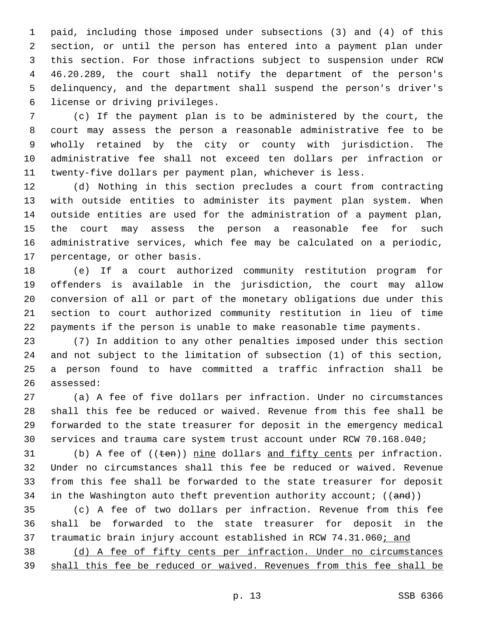paid, including those imposed under subsections (3) and (4) of this section, or until the person has entered into a payment plan under this section. For those infractions subject to suspension under RCW 46.20.289, the court shall notify the department of the person's delinquency, and the department shall suspend the person's driver's 6 license or driving privileges.

 (c) If the payment plan is to be administered by the court, the court may assess the person a reasonable administrative fee to be wholly retained by the city or county with jurisdiction. The administrative fee shall not exceed ten dollars per infraction or twenty-five dollars per payment plan, whichever is less.

 (d) Nothing in this section precludes a court from contracting with outside entities to administer its payment plan system. When outside entities are used for the administration of a payment plan, the court may assess the person a reasonable fee for such administrative services, which fee may be calculated on a periodic, 17 percentage, or other basis.

 (e) If a court authorized community restitution program for offenders is available in the jurisdiction, the court may allow conversion of all or part of the monetary obligations due under this section to court authorized community restitution in lieu of time payments if the person is unable to make reasonable time payments.

 (7) In addition to any other penalties imposed under this section and not subject to the limitation of subsection (1) of this section, a person found to have committed a traffic infraction shall be 26 assessed:

 (a) A fee of five dollars per infraction. Under no circumstances shall this fee be reduced or waived. Revenue from this fee shall be forwarded to the state treasurer for deposit in the emergency medical services and trauma care system trust account under RCW 70.168.040;

31 (b) A fee of ((ten)) nine dollars and fifty cents per infraction. Under no circumstances shall this fee be reduced or waived. Revenue from this fee shall be forwarded to the state treasurer for deposit 34 in the Washington auto theft prevention authority account;  $((and))$ 

 (c) A fee of two dollars per infraction. Revenue from this fee shall be forwarded to the state treasurer for deposit in the 37 traumatic brain injury account established in RCW 74.31.060; and

 (d) A fee of fifty cents per infraction. Under no circumstances shall this fee be reduced or waived. Revenues from this fee shall be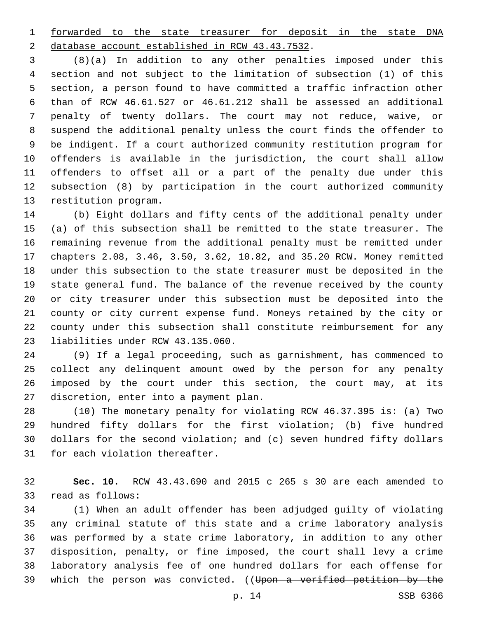forwarded to the state treasurer for deposit in the state DNA 2 database account established in RCW 43.43.7532.

 (8)(a) In addition to any other penalties imposed under this section and not subject to the limitation of subsection (1) of this section, a person found to have committed a traffic infraction other than of RCW 46.61.527 or 46.61.212 shall be assessed an additional penalty of twenty dollars. The court may not reduce, waive, or suspend the additional penalty unless the court finds the offender to be indigent. If a court authorized community restitution program for offenders is available in the jurisdiction, the court shall allow offenders to offset all or a part of the penalty due under this subsection (8) by participation in the court authorized community 13 restitution program.

 (b) Eight dollars and fifty cents of the additional penalty under (a) of this subsection shall be remitted to the state treasurer. The remaining revenue from the additional penalty must be remitted under chapters 2.08, 3.46, 3.50, 3.62, 10.82, and 35.20 RCW. Money remitted under this subsection to the state treasurer must be deposited in the state general fund. The balance of the revenue received by the county or city treasurer under this subsection must be deposited into the county or city current expense fund. Moneys retained by the city or county under this subsection shall constitute reimbursement for any 23 liabilities under RCW 43.135.060.

 (9) If a legal proceeding, such as garnishment, has commenced to collect any delinquent amount owed by the person for any penalty imposed by the court under this section, the court may, at its 27 discretion, enter into a payment plan.

 (10) The monetary penalty for violating RCW 46.37.395 is: (a) Two hundred fifty dollars for the first violation; (b) five hundred dollars for the second violation; and (c) seven hundred fifty dollars 31 for each violation thereafter.

 **Sec. 10.** RCW 43.43.690 and 2015 c 265 s 30 are each amended to 33 read as follows:

 (1) When an adult offender has been adjudged guilty of violating any criminal statute of this state and a crime laboratory analysis was performed by a state crime laboratory, in addition to any other disposition, penalty, or fine imposed, the court shall levy a crime laboratory analysis fee of one hundred dollars for each offense for 39 which the person was convicted. ((Upon a verified petition by the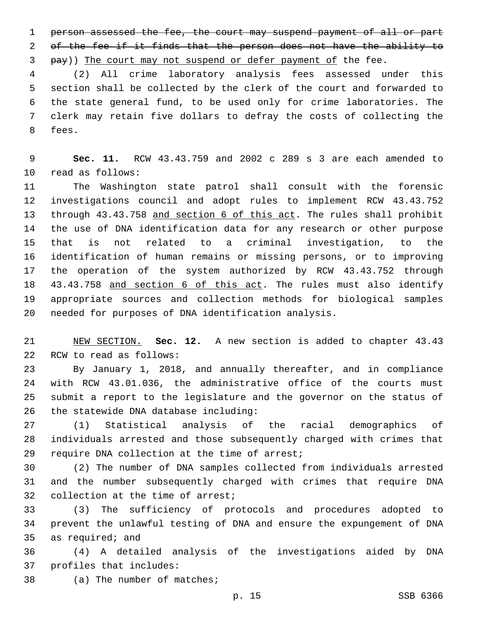person assessed the fee, the court may suspend payment of all or part 2 of the fee if it finds that the person does not have the ability to 3 pay)) The court may not suspend or defer payment of the fee.

 (2) All crime laboratory analysis fees assessed under this section shall be collected by the clerk of the court and forwarded to the state general fund, to be used only for crime laboratories. The clerk may retain five dollars to defray the costs of collecting the 8 fees.

 **Sec. 11.** RCW 43.43.759 and 2002 c 289 s 3 are each amended to 10 read as follows:

 The Washington state patrol shall consult with the forensic investigations council and adopt rules to implement RCW 43.43.752 13 through 43.43.758 and section 6 of this act. The rules shall prohibit the use of DNA identification data for any research or other purpose that is not related to a criminal investigation, to the identification of human remains or missing persons, or to improving the operation of the system authorized by RCW 43.43.752 through 43.43.758 and section 6 of this act. The rules must also identify appropriate sources and collection methods for biological samples needed for purposes of DNA identification analysis.

 NEW SECTION. **Sec. 12.** A new section is added to chapter 43.43 22 RCW to read as follows:

 By January 1, 2018, and annually thereafter, and in compliance with RCW 43.01.036, the administrative office of the courts must submit a report to the legislature and the governor on the status of 26 the statewide DNA database including:

 (1) Statistical analysis of the racial demographics of individuals arrested and those subsequently charged with crimes that 29 require DNA collection at the time of arrest;

 (2) The number of DNA samples collected from individuals arrested and the number subsequently charged with crimes that require DNA 32 collection at the time of arrest;

 (3) The sufficiency of protocols and procedures adopted to prevent the unlawful testing of DNA and ensure the expungement of DNA 35 as required; and

 (4) A detailed analysis of the investigations aided by DNA 37 profiles that includes:

38 (a) The number of matches;